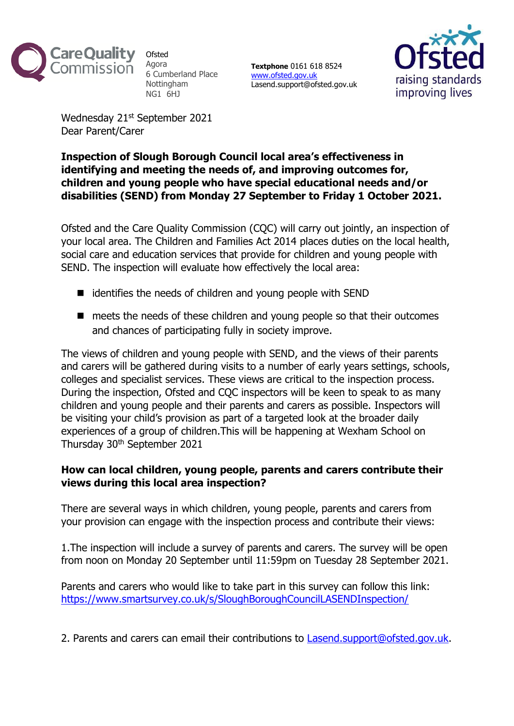

**Ofsted** Agora 6 Cumberland Place Nottingham NG1 6HJ

**Textphone** 0161 618 8524 [www.ofsted.gov.uk](http://www.ofsted.gov.uk/) Lasend.support@ofsted.gov.uk



Wednesday 21<sup>st</sup> September 2021 Dear Parent/Carer

## **Inspection of Slough Borough Council local area's effectiveness in identifying and meeting the needs of, and improving outcomes for, children and young people who have special educational needs and/or disabilities (SEND) from Monday 27 September to Friday 1 October 2021.**

Ofsted and the Care Quality Commission (CQC) will carry out jointly, an inspection of your local area. The Children and Families Act 2014 places duties on the local health, social care and education services that provide for children and young people with SEND. The inspection will evaluate how effectively the local area:

- identifies the needs of children and young people with SEND
- meets the needs of these children and young people so that their outcomes and chances of participating fully in society improve.

The views of children and young people with SEND, and the views of their parents and carers will be gathered during visits to a number of early years settings, schools, colleges and specialist services. These views are critical to the inspection process. During the inspection, Ofsted and CQC inspectors will be keen to speak to as many children and young people and their parents and carers as possible. Inspectors will be visiting your child's provision as part of a targeted look at the broader daily experiences of a group of children.This will be happening at Wexham School on Thursday 30th September 2021

## **How can local children, young people, parents and carers contribute their views during this local area inspection?**

There are several ways in which children, young people, parents and carers from your provision can engage with the inspection process and contribute their views:

1.The inspection will include a survey of parents and carers. The survey will be open from noon on Monday 20 September until 11:59pm on Tuesday 28 September 2021.

Parents and carers who would like to take part in this survey can follow this link: <https://www.smartsurvey.co.uk/s/SloughBoroughCouncilLASENDInspection/>

2. Parents and carers can email their contributions to [Lasend.support@ofsted.gov.uk.](mailto:Lasend.support@ofsted.gov.uk)